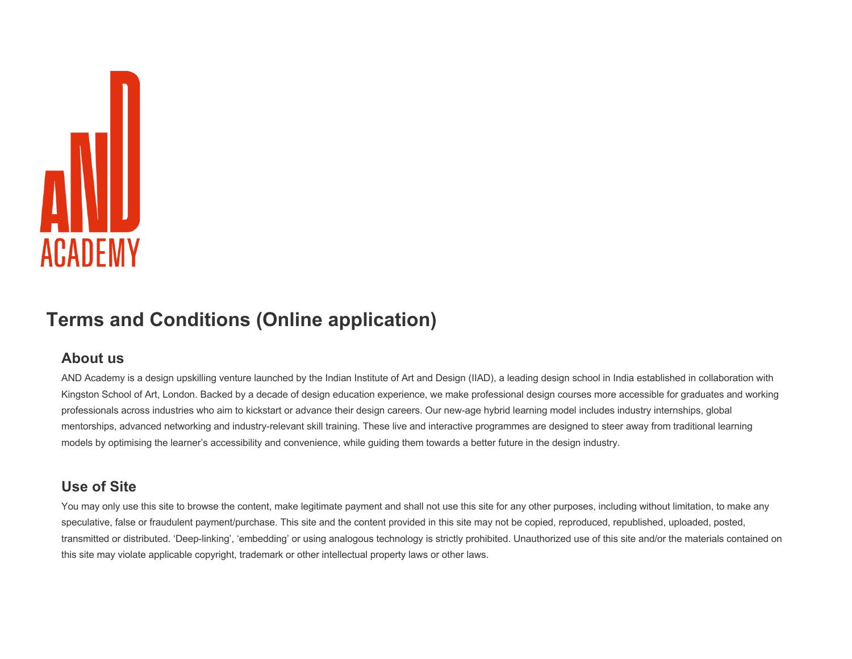

# **Terms and Conditions (Online application)**

#### **About us**

AND Academy is a design upskilling venture launched by the Indian Institute of Art and Design (IIAD), a leading design school in India established in collaboration with Kingston School of Art, London. Backed by a decade of design education experience, we make professional design courses more accessible for graduates and working professionals across industries who aim to kickstart or advance their design careers. Our new-age hybrid learning model includes industry internships, global mentorships, advanced networking and industry-relevant skill training. These live and interactive programmes are designed to steer away from traditional learning models by optimising the learner's accessibility and convenience, while guiding them towards a better future in the design industry.

# **Use of Site**

You may only use this site to browse the content, make legitimate payment and shall not use this site for any other purposes, including without limitation, to make any speculative, false or fraudulent payment/purchase. This site and the content provided in this site may not be copied, reproduced, republished, uploaded, posted, transmitted or distributed. 'Deep-linking', 'embedding' or using analogous technology is strictly prohibited. Unauthorized use of this site and/or the materials contained on this site may violate applicable copyright, trademark or other intellectual property laws or other laws.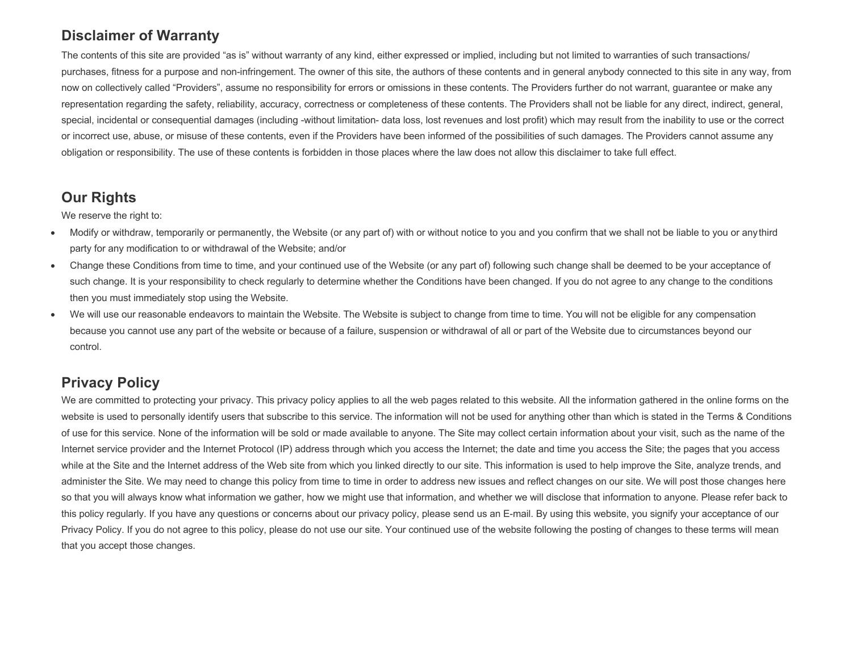#### **Disclaimer of Warranty**

The contents of this site are provided "as is" without warranty of any kind, either expressed or implied, including but not limited to warranties of such transactions/ purchases, fitness for a purpose and non-infringement. The owner of this site, the authors of these contents and in general anybody connected to this site in any way, from now on collectively called "Providers", assume no responsibility for errors or omissions in these contents. The Providers further do not warrant, guarantee or make any representation regarding the safety, reliability, accuracy, correctness or completeness of these contents. The Providers shall not be liable for any direct, indirect, general, special, incidental or consequential damages (including -without limitation- data loss, lost revenues and lost profit) which may result from the inability to use or the correct or incorrect use, abuse, or misuse of these contents, even if the Providers have been informed of the possibilities of such damages. The Providers cannot assume any obligation or responsibility. The use of these contents is forbidden in those places where the law does not allow this disclaimer to take full effect.

#### **Our Rights**

We reserve the right to:

- Modify or withdraw, temporarily or permanently, the Website (or any part of) with or without notice to you and you confirm that we shall not be liable to you or anythird party for any modification to or withdrawal of the Website; and/or
- Change these Conditions from time to time, and your continued use of the Website (or any part of) following such change shall be deemed to be your acceptance of such change. It is your responsibility to check regularly to determine whether the Conditions have been changed. If you do not agree to any change to the conditions then you must immediately stop using the Website.
- We will use our reasonable endeavors to maintain the Website. The Website is subject to change from time to time. You will not be eligible for any compensation because you cannot use any part of the website or because of a failure, suspension or withdrawal of all or part of the Website due to circumstances beyond our control.

# **Privacy Policy**

We are committed to protecting your privacy. This privacy policy applies to all the web pages related to this website. All the information gathered in the online forms on the website is used to personally identify users that subscribe to this service. The information will not be used for anything other than which is stated in the Terms & Conditions of use for this service. None of the information will be sold or made available to anyone. The Site may collect certain information about your visit, such as the name of the Internet service provider and the Internet Protocol (IP) address through which you access the Internet; the date and time you access the Site; the pages that you access while at the Site and the Internet address of the Web site from which you linked directly to our site. This information is used to help improve the Site, analyze trends, and administer the Site. We may need to change this policy from time to time in order to address new issues and reflect changes on our site. We will post those changes here so that you will always know what information we gather, how we might use that information, and whether we will disclose that information to anyone. Please refer back to this policy regularly. If you have any questions or concerns about our privacy policy, please send us an E-mail. By using this website, you signify your acceptance of our Privacy Policy. If you do not agree to this policy, please do not use our site. Your continued use of the website following the posting of changes to these terms will mean that you accept those changes.